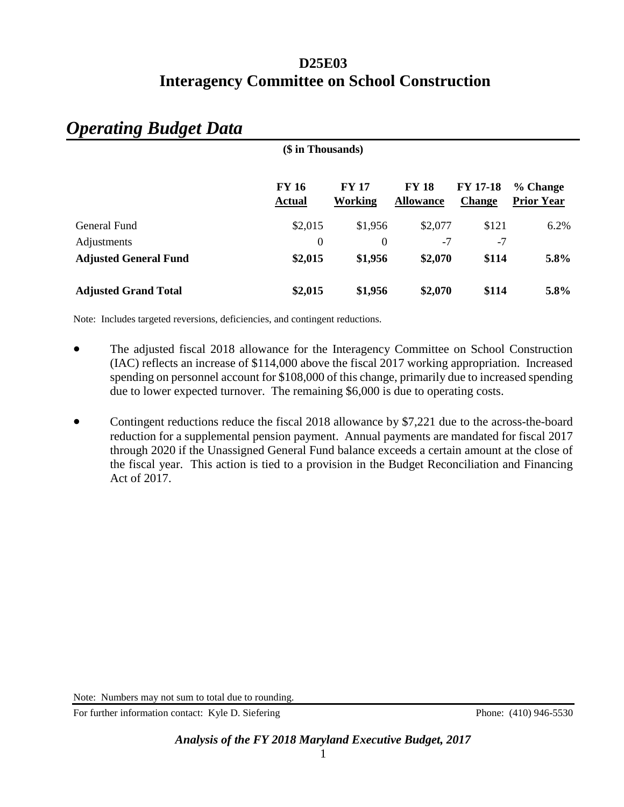| (\$ in Thousands)            |                               |                                |                                  |                                  |                               |  |
|------------------------------|-------------------------------|--------------------------------|----------------------------------|----------------------------------|-------------------------------|--|
|                              | <b>FY 16</b><br><b>Actual</b> | <b>FY 17</b><br><b>Working</b> | <b>FY 18</b><br><b>Allowance</b> | <b>FY 17-18</b><br><b>Change</b> | % Change<br><b>Prior Year</b> |  |
| General Fund                 | \$2,015                       | \$1,956                        | \$2,077                          | \$121                            | 6.2%                          |  |
| Adjustments                  | $\boldsymbol{0}$              | 0                              | $-7$                             | $-7$                             |                               |  |
| <b>Adjusted General Fund</b> | \$2,015                       | \$1,956                        | \$2,070                          | \$114                            | 5.8%                          |  |
| <b>Adjusted Grand Total</b>  | \$2,015                       | \$1,956                        | \$2,070                          | \$114                            | 5.8%                          |  |

# *Operating Budget Data*

Note: Includes targeted reversions, deficiencies, and contingent reductions.

- The adjusted fiscal 2018 allowance for the Interagency Committee on School Construction (IAC) reflects an increase of \$114,000 above the fiscal 2017 working appropriation. Increased spending on personnel account for \$108,000 of this change, primarily due to increased spending due to lower expected turnover. The remaining \$6,000 is due to operating costs.
- Contingent reductions reduce the fiscal 2018 allowance by \$7,221 due to the across-the-board reduction for a supplemental pension payment. Annual payments are mandated for fiscal 2017 through 2020 if the Unassigned General Fund balance exceeds a certain amount at the close of the fiscal year. This action is tied to a provision in the Budget Reconciliation and Financing Act of 2017.

Note: Numbers may not sum to total due to rounding.

For further information contact: Kyle D. Siefering Phone: (410) 946-5530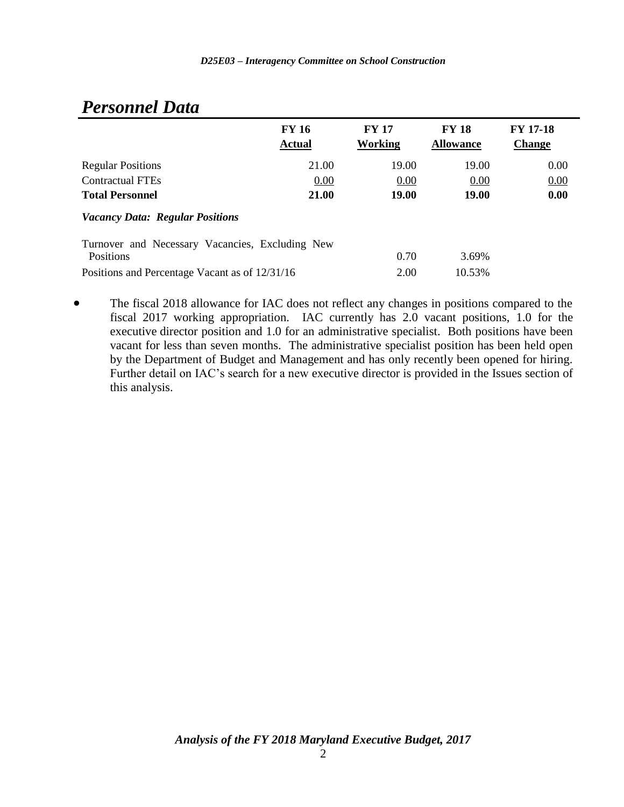|                                                              | <b>FY 16</b><br><b>Actual</b> | <b>FY 17</b><br>Working | <b>FY 18</b><br><b>Allowance</b> | <b>FY 17-18</b><br><b>Change</b> |
|--------------------------------------------------------------|-------------------------------|-------------------------|----------------------------------|----------------------------------|
| <b>Regular Positions</b>                                     | 21.00                         | 19.00                   | 19.00                            | 0.00                             |
| <b>Contractual FTEs</b>                                      | 0.00                          | 0.00                    | 0.00                             | 0.00                             |
| <b>Total Personnel</b>                                       | 21.00                         | 19.00                   | 19.00                            | 0.00                             |
| <b>Vacancy Data: Regular Positions</b>                       |                               |                         |                                  |                                  |
| Turnover and Necessary Vacancies, Excluding New<br>Positions |                               | 0.70                    | 3.69%                            |                                  |
| Positions and Percentage Vacant as of 12/31/16               |                               | 2.00                    | 10.53%                           |                                  |

# *Personnel Data*

• The fiscal 2018 allowance for IAC does not reflect any changes in positions compared to the fiscal 2017 working appropriation. IAC currently has 2.0 vacant positions, 1.0 for the executive director position and 1.0 for an administrative specialist. Both positions have been vacant for less than seven months. The administrative specialist position has been held open by the Department of Budget and Management and has only recently been opened for hiring. Further detail on IAC's search for a new executive director is provided in the Issues section of this analysis.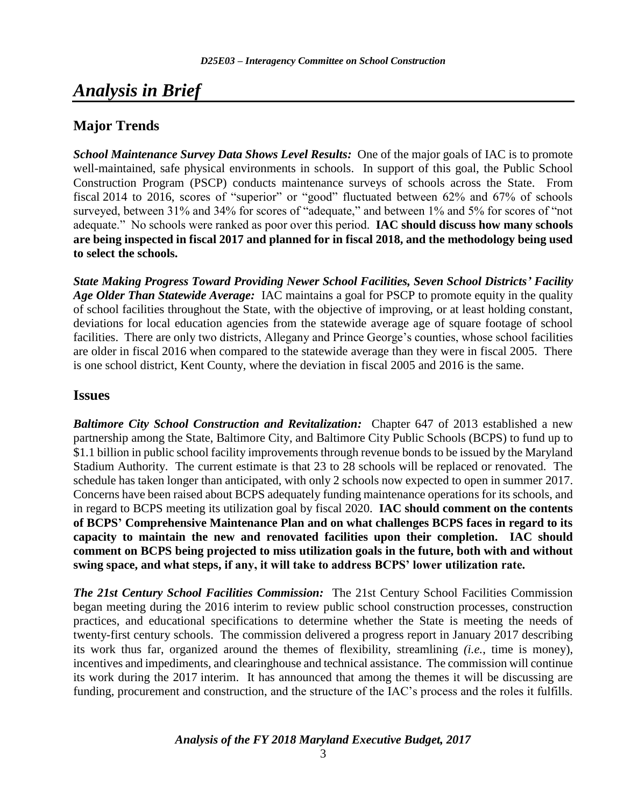# *Analysis in Brief*

# **Major Trends**

*School Maintenance Survey Data Shows Level Results:* One of the major goals of IAC is to promote well-maintained, safe physical environments in schools. In support of this goal, the Public School Construction Program (PSCP) conducts maintenance surveys of schools across the State. From fiscal 2014 to 2016, scores of "superior" or "good" fluctuated between 62% and 67% of schools surveyed, between 31% and 34% for scores of "adequate," and between 1% and 5% for scores of "not adequate." No schools were ranked as poor over this period. **IAC should discuss how many schools are being inspected in fiscal 2017 and planned for in fiscal 2018, and the methodology being used to select the schools.** 

*State Making Progress Toward Providing Newer School Facilities, Seven School Districts' Facility Age Older Than Statewide Average:* IAC maintains a goal for PSCP to promote equity in the quality of school facilities throughout the State, with the objective of improving, or at least holding constant, deviations for local education agencies from the statewide average age of square footage of school facilities. There are only two districts, Allegany and Prince George's counties, whose school facilities are older in fiscal 2016 when compared to the statewide average than they were in fiscal 2005. There is one school district, Kent County, where the deviation in fiscal 2005 and 2016 is the same.

### **Issues**

*Baltimore City School Construction and Revitalization:* Chapter 647 of 2013 established a new partnership among the State, Baltimore City, and Baltimore City Public Schools (BCPS) to fund up to \$1.1 billion in public school facility improvements through revenue bonds to be issued by the Maryland Stadium Authority. The current estimate is that 23 to 28 schools will be replaced or renovated. The schedule has taken longer than anticipated, with only 2 schools now expected to open in summer 2017. Concerns have been raised about BCPS adequately funding maintenance operations for its schools, and in regard to BCPS meeting its utilization goal by fiscal 2020. **IAC should comment on the contents of BCPS' Comprehensive Maintenance Plan and on what challenges BCPS faces in regard to its capacity to maintain the new and renovated facilities upon their completion. IAC should comment on BCPS being projected to miss utilization goals in the future, both with and without swing space, and what steps, if any, it will take to address BCPS' lower utilization rate.**

*The 21st Century School Facilities Commission:* The 21st Century School Facilities Commission began meeting during the 2016 interim to review public school construction processes, construction practices, and educational specifications to determine whether the State is meeting the needs of twenty-first century schools. The commission delivered a progress report in January 2017 describing its work thus far, organized around the themes of flexibility, streamlining *(i.e.*, time is money), incentives and impediments, and clearinghouse and technical assistance. The commission will continue its work during the 2017 interim. It has announced that among the themes it will be discussing are funding, procurement and construction, and the structure of the IAC's process and the roles it fulfills.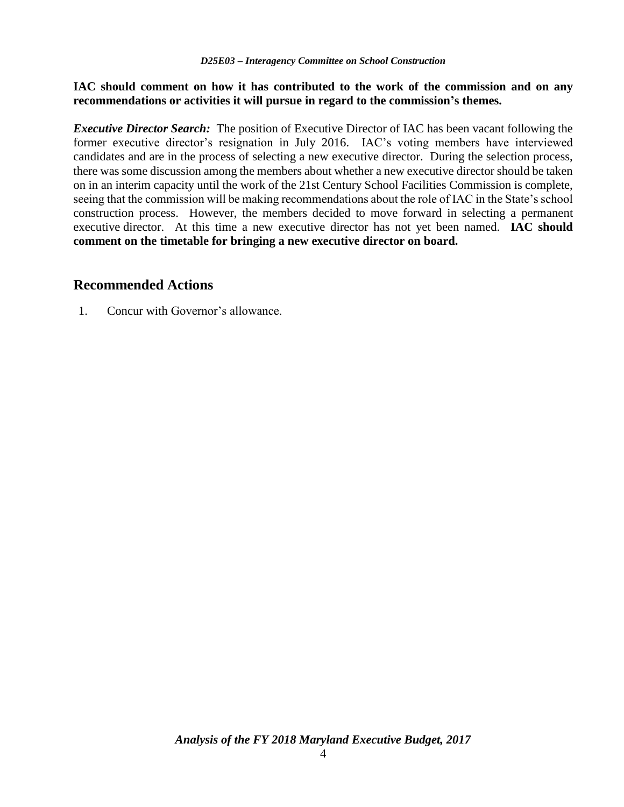#### **IAC should comment on how it has contributed to the work of the commission and on any recommendations or activities it will pursue in regard to the commission's themes.**

*Executive Director Search:* The position of Executive Director of IAC has been vacant following the former executive director's resignation in July 2016. IAC's voting members have interviewed candidates and are in the process of selecting a new executive director. During the selection process, there was some discussion among the members about whether a new executive director should be taken on in an interim capacity until the work of the 21st Century School Facilities Commission is complete, seeing that the commission will be making recommendations about the role of IAC in the State's school construction process. However, the members decided to move forward in selecting a permanent executive director. At this time a new executive director has not yet been named. **IAC should comment on the timetable for bringing a new executive director on board.** 

### **Recommended Actions**

1. Concur with Governor's allowance.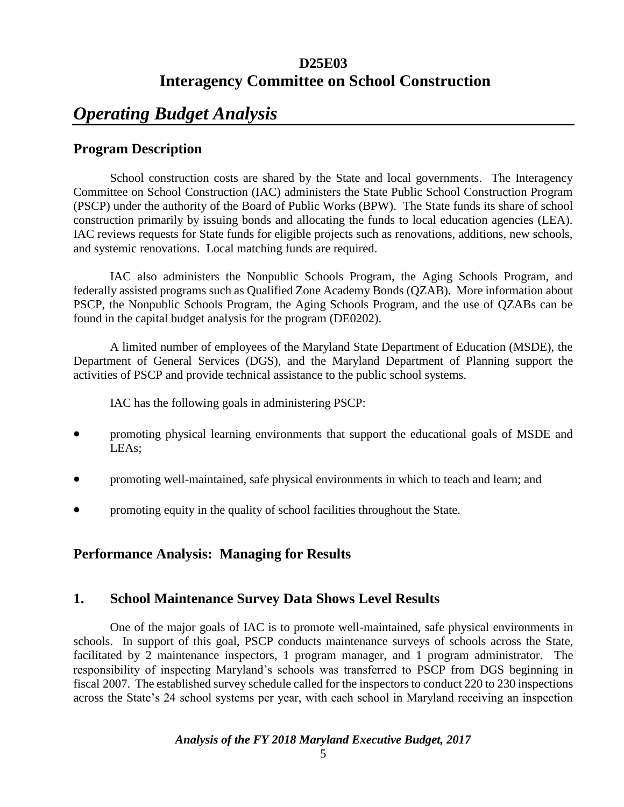# *Operating Budget Analysis*

## **Program Description**

School construction costs are shared by the State and local governments. The Interagency Committee on School Construction (IAC) administers the State Public School Construction Program (PSCP) under the authority of the Board of Public Works (BPW). The State funds its share of school construction primarily by issuing bonds and allocating the funds to local education agencies (LEA). IAC reviews requests for State funds for eligible projects such as renovations, additions, new schools, and systemic renovations. Local matching funds are required.

IAC also administers the Nonpublic Schools Program, the Aging Schools Program, and federally assisted programs such as Qualified Zone Academy Bonds (QZAB). More information about PSCP, the Nonpublic Schools Program, the Aging Schools Program, and the use of QZABs can be found in the capital budget analysis for the program (DE0202).

A limited number of employees of the Maryland State Department of Education (MSDE), the Department of General Services (DGS), and the Maryland Department of Planning support the activities of PSCP and provide technical assistance to the public school systems.

IAC has the following goals in administering PSCP:

- promoting physical learning environments that support the educational goals of MSDE and LEAs;
- promoting well-maintained, safe physical environments in which to teach and learn; and
- promoting equity in the quality of school facilities throughout the State.

# **Performance Analysis: Managing for Results**

# **1. School Maintenance Survey Data Shows Level Results**

One of the major goals of IAC is to promote well-maintained, safe physical environments in schools. In support of this goal, PSCP conducts maintenance surveys of schools across the State, facilitated by 2 maintenance inspectors, 1 program manager, and 1 program administrator. The responsibility of inspecting Maryland's schools was transferred to PSCP from DGS beginning in fiscal 2007. The established survey schedule called for the inspectors to conduct 220 to 230 inspections across the State's 24 school systems per year, with each school in Maryland receiving an inspection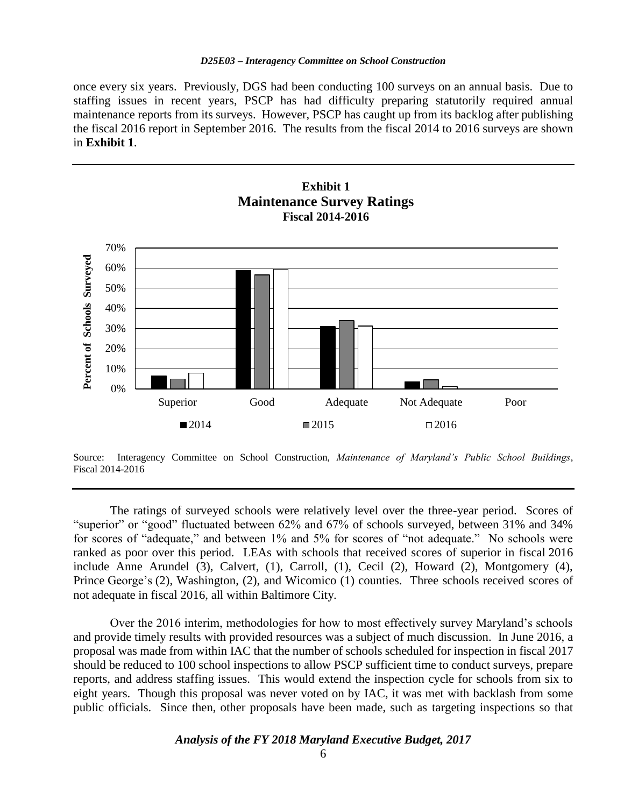once every six years. Previously, DGS had been conducting 100 surveys on an annual basis. Due to staffing issues in recent years, PSCP has had difficulty preparing statutorily required annual maintenance reports from its surveys. However, PSCP has caught up from its backlog after publishing the fiscal 2016 report in September 2016. The results from the fiscal 2014 to 2016 surveys are shown in **Exhibit 1**.



**Exhibit 1**

The ratings of surveyed schools were relatively level over the three-year period. Scores of "superior" or "good" fluctuated between 62% and 67% of schools surveyed, between 31% and 34% for scores of "adequate," and between 1% and 5% for scores of "not adequate." No schools were ranked as poor over this period. LEAs with schools that received scores of superior in fiscal 2016 include Anne Arundel (3), Calvert, (1), Carroll, (1), Cecil (2), Howard (2), Montgomery (4), Prince George's (2), Washington, (2), and Wicomico (1) counties. Three schools received scores of not adequate in fiscal 2016, all within Baltimore City.

Over the 2016 interim, methodologies for how to most effectively survey Maryland's schools and provide timely results with provided resources was a subject of much discussion. In June 2016, a proposal was made from within IAC that the number of schools scheduled for inspection in fiscal 2017 should be reduced to 100 school inspections to allow PSCP sufficient time to conduct surveys, prepare reports, and address staffing issues. This would extend the inspection cycle for schools from six to eight years. Though this proposal was never voted on by IAC, it was met with backlash from some public officials. Since then, other proposals have been made, such as targeting inspections so that

Source: Interagency Committee on School Construction, *Maintenance of Maryland's Public School Buildings*, Fiscal 2014-2016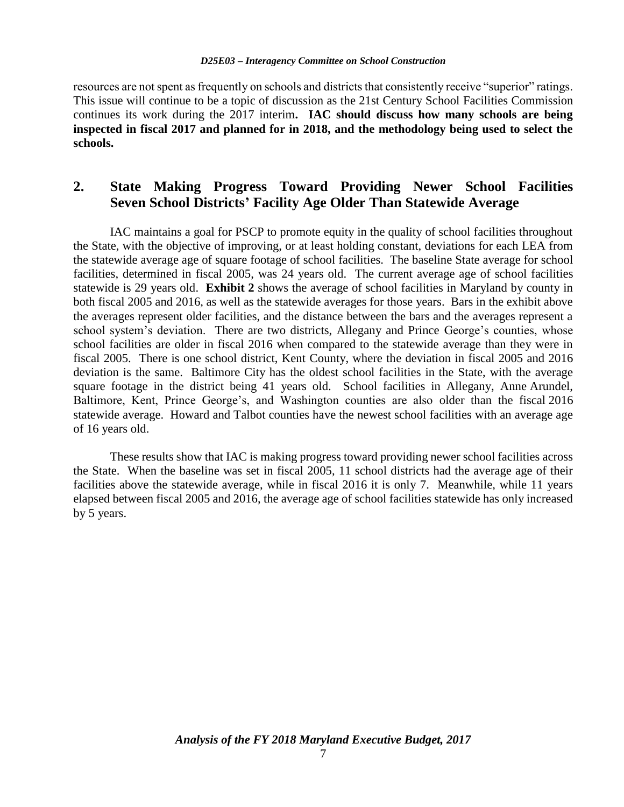resources are not spent as frequently on schools and districts that consistently receive "superior" ratings. This issue will continue to be a topic of discussion as the 21st Century School Facilities Commission continues its work during the 2017 interim**. IAC should discuss how many schools are being inspected in fiscal 2017 and planned for in 2018, and the methodology being used to select the schools.**

# **2. State Making Progress Toward Providing Newer School Facilities Seven School Districts' Facility Age Older Than Statewide Average**

IAC maintains a goal for PSCP to promote equity in the quality of school facilities throughout the State, with the objective of improving, or at least holding constant, deviations for each LEA from the statewide average age of square footage of school facilities. The baseline State average for school facilities, determined in fiscal 2005, was 24 years old. The current average age of school facilities statewide is 29 years old. **Exhibit 2** shows the average of school facilities in Maryland by county in both fiscal 2005 and 2016, as well as the statewide averages for those years. Bars in the exhibit above the averages represent older facilities, and the distance between the bars and the averages represent a school system's deviation. There are two districts, Allegany and Prince George's counties, whose school facilities are older in fiscal 2016 when compared to the statewide average than they were in fiscal 2005. There is one school district, Kent County, where the deviation in fiscal 2005 and 2016 deviation is the same. Baltimore City has the oldest school facilities in the State, with the average square footage in the district being 41 years old. School facilities in Allegany, Anne Arundel, Baltimore, Kent, Prince George's, and Washington counties are also older than the fiscal 2016 statewide average. Howard and Talbot counties have the newest school facilities with an average age of 16 years old.

These results show that IAC is making progress toward providing newer school facilities across the State. When the baseline was set in fiscal 2005, 11 school districts had the average age of their facilities above the statewide average, while in fiscal 2016 it is only 7. Meanwhile, while 11 years elapsed between fiscal 2005 and 2016, the average age of school facilities statewide has only increased by 5 years.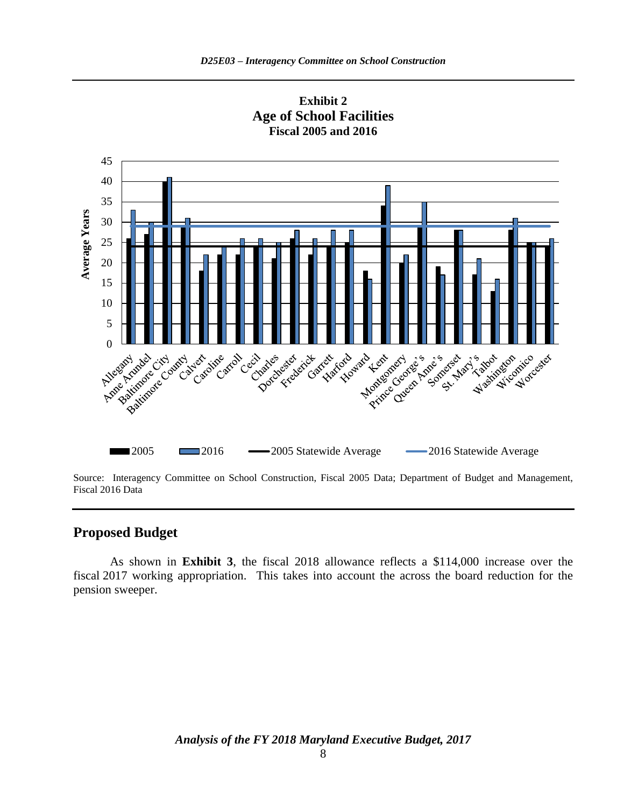

**Exhibit 2 Age of School Facilities Fiscal 2005 and 2016**

Source: Interagency Committee on School Construction, Fiscal 2005 Data; Department of Budget and Management, Fiscal 2016 Data

#### **Proposed Budget**

As shown in **Exhibit 3**, the fiscal 2018 allowance reflects a \$114,000 increase over the fiscal 2017 working appropriation. This takes into account the across the board reduction for the pension sweeper.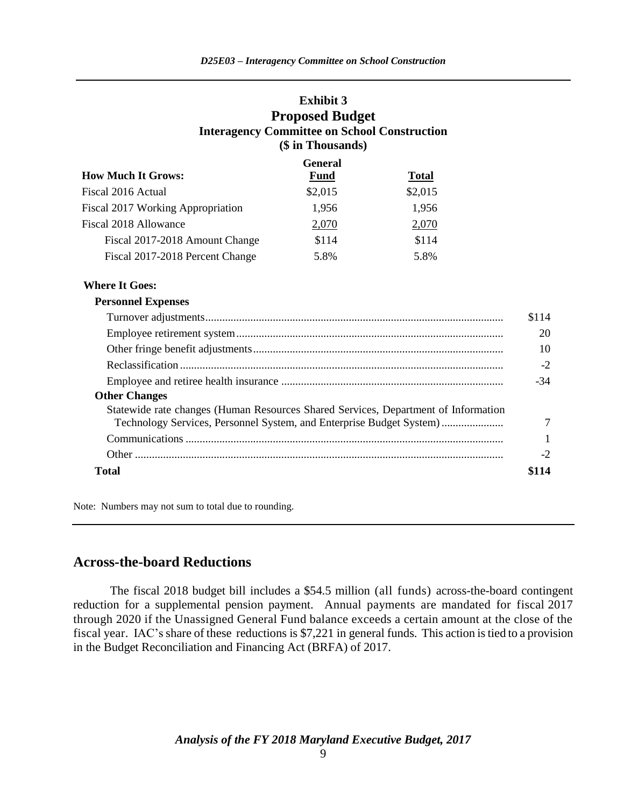### **Exhibit 3 Proposed Budget Interagency Committee on School Construction (\$ in Thousands)**

|                                   | <b>General</b> |              |  |
|-----------------------------------|----------------|--------------|--|
| <b>How Much It Grows:</b>         | <b>Fund</b>    | <b>Total</b> |  |
| Fiscal 2016 Actual                | \$2,015        | \$2,015      |  |
| Fiscal 2017 Working Appropriation | 1,956          | 1,956        |  |
| Fiscal 2018 Allowance             | 2,070          | 2,070        |  |
| Fiscal 2017-2018 Amount Change    | \$114          | \$114        |  |
| Fiscal 2017-2018 Percent Change   | 5.8%           | 5.8%         |  |

#### **Where It Goes:**

| <b>Personnel Expenses</b>                                                          |       |
|------------------------------------------------------------------------------------|-------|
|                                                                                    | \$114 |
|                                                                                    | 20    |
|                                                                                    |       |
|                                                                                    | -2    |
|                                                                                    | -34   |
| <b>Other Changes</b>                                                               |       |
| Statewide rate changes (Human Resources Shared Services, Department of Information |       |
| Technology Services, Personnel System, and Enterprise Budget System)               |       |
|                                                                                    |       |
|                                                                                    | $-2$  |
| Total                                                                              |       |

Note: Numbers may not sum to total due to rounding.

### **Across-the-board Reductions**

The fiscal 2018 budget bill includes a \$54.5 million (all funds) across-the-board contingent reduction for a supplemental pension payment. Annual payments are mandated for fiscal 2017 through 2020 if the Unassigned General Fund balance exceeds a certain amount at the close of the fiscal year. IAC's share of these reductions is \$7,221 in general funds. This action is tied to a provision in the Budget Reconciliation and Financing Act (BRFA) of 2017.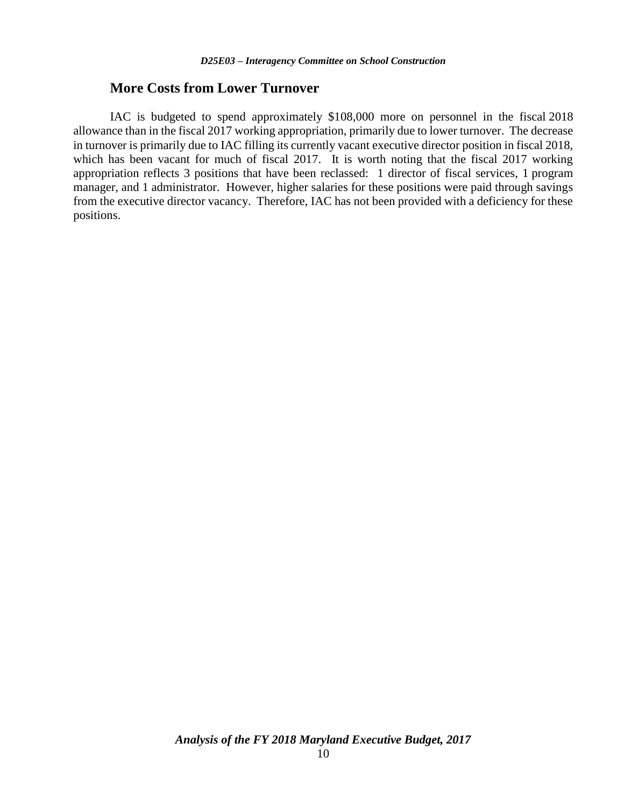#### **More Costs from Lower Turnover**

IAC is budgeted to spend approximately \$108,000 more on personnel in the fiscal 2018 allowance than in the fiscal 2017 working appropriation, primarily due to lower turnover. The decrease in turnover is primarily due to IAC filling its currently vacant executive director position in fiscal 2018, which has been vacant for much of fiscal 2017. It is worth noting that the fiscal 2017 working appropriation reflects 3 positions that have been reclassed: 1 director of fiscal services, 1 program manager, and 1 administrator. However, higher salaries for these positions were paid through savings from the executive director vacancy. Therefore, IAC has not been provided with a deficiency for these positions.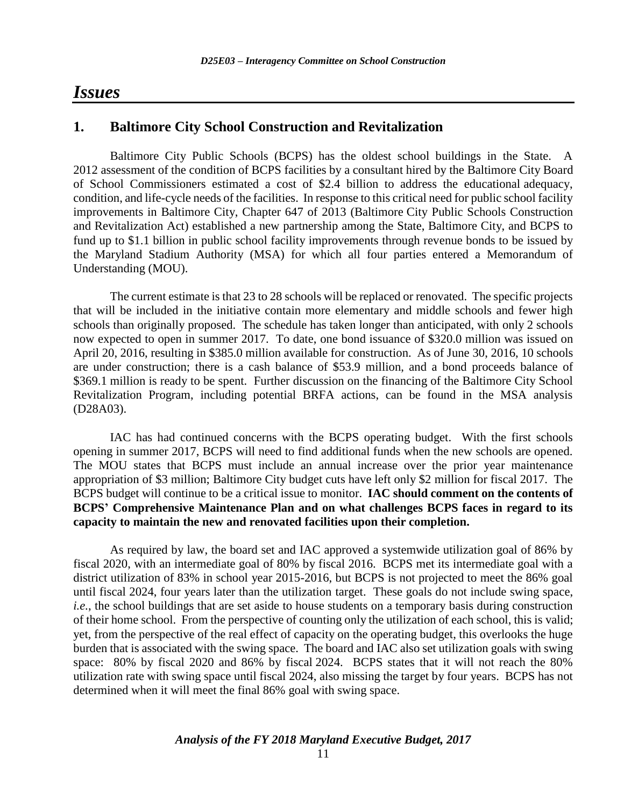# *Issues*

### **1. Baltimore City School Construction and Revitalization**

Baltimore City Public Schools (BCPS) has the oldest school buildings in the State. A 2012 assessment of the condition of BCPS facilities by a consultant hired by the Baltimore City Board of School Commissioners estimated a cost of \$2.4 billion to address the educational adequacy, condition, and life-cycle needs of the facilities. In response to this critical need for public school facility improvements in Baltimore City, Chapter 647 of 2013 (Baltimore City Public Schools Construction and Revitalization Act) established a new partnership among the State, Baltimore City, and BCPS to fund up to \$1.1 billion in public school facility improvements through revenue bonds to be issued by the Maryland Stadium Authority (MSA) for which all four parties entered a Memorandum of Understanding (MOU).

The current estimate is that 23 to 28 schools will be replaced or renovated. The specific projects that will be included in the initiative contain more elementary and middle schools and fewer high schools than originally proposed. The schedule has taken longer than anticipated, with only 2 schools now expected to open in summer 2017. To date, one bond issuance of \$320.0 million was issued on April 20, 2016, resulting in \$385.0 million available for construction. As of June 30, 2016, 10 schools are under construction; there is a cash balance of \$53.9 million, and a bond proceeds balance of \$369.1 million is ready to be spent. Further discussion on the financing of the Baltimore City School Revitalization Program, including potential BRFA actions, can be found in the MSA analysis (D28A03).

IAC has had continued concerns with the BCPS operating budget. With the first schools opening in summer 2017, BCPS will need to find additional funds when the new schools are opened. The MOU states that BCPS must include an annual increase over the prior year maintenance appropriation of \$3 million; Baltimore City budget cuts have left only \$2 million for fiscal 2017. The BCPS budget will continue to be a critical issue to monitor. **IAC should comment on the contents of BCPS' Comprehensive Maintenance Plan and on what challenges BCPS faces in regard to its capacity to maintain the new and renovated facilities upon their completion.** 

As required by law, the board set and IAC approved a systemwide utilization goal of 86% by fiscal 2020, with an intermediate goal of 80% by fiscal 2016. BCPS met its intermediate goal with a district utilization of 83% in school year 2015-2016, but BCPS is not projected to meet the 86% goal until fiscal 2024, four years later than the utilization target. These goals do not include swing space, *i.e.*, the school buildings that are set aside to house students on a temporary basis during construction of their home school. From the perspective of counting only the utilization of each school, this is valid; yet, from the perspective of the real effect of capacity on the operating budget, this overlooks the huge burden that is associated with the swing space. The board and IAC also set utilization goals with swing space: 80% by fiscal 2020 and 86% by fiscal 2024. BCPS states that it will not reach the 80% utilization rate with swing space until fiscal 2024, also missing the target by four years. BCPS has not determined when it will meet the final 86% goal with swing space.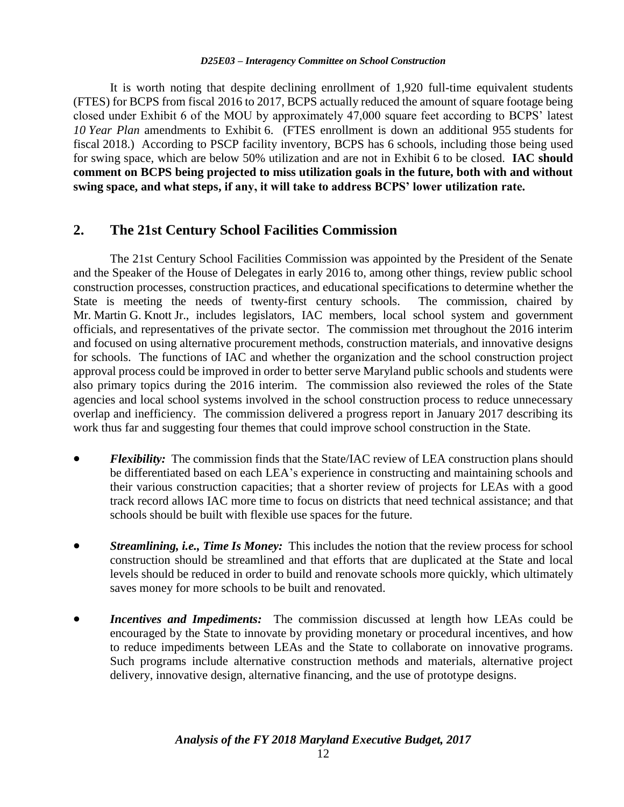It is worth noting that despite declining enrollment of 1,920 full-time equivalent students (FTES) for BCPS from fiscal 2016 to 2017, BCPS actually reduced the amount of square footage being closed under Exhibit 6 of the MOU by approximately 47,000 square feet according to BCPS' latest *10 Year Plan* amendments to Exhibit 6. (FTES enrollment is down an additional 955 students for fiscal 2018.) According to PSCP facility inventory, BCPS has 6 schools, including those being used for swing space, which are below 50% utilization and are not in Exhibit 6 to be closed. **IAC should comment on BCPS being projected to miss utilization goals in the future, both with and without swing space, and what steps, if any, it will take to address BCPS' lower utilization rate.**

## **2. The 21st Century School Facilities Commission**

The 21st Century School Facilities Commission was appointed by the President of the Senate and the Speaker of the House of Delegates in early 2016 to, among other things, review public school construction processes, construction practices, and educational specifications to determine whether the State is meeting the needs of twenty-first century schools. The commission, chaired by Mr. Martin G. Knott Jr., includes legislators, IAC members, local school system and government officials, and representatives of the private sector. The commission met throughout the 2016 interim and focused on using alternative procurement methods, construction materials, and innovative designs for schools. The functions of IAC and whether the organization and the school construction project approval process could be improved in order to better serve Maryland public schools and students were also primary topics during the 2016 interim. The commission also reviewed the roles of the State agencies and local school systems involved in the school construction process to reduce unnecessary overlap and inefficiency. The commission delivered a progress report in January 2017 describing its work thus far and suggesting four themes that could improve school construction in the State.

- *Flexibility:* The commission finds that the State/IAC review of LEA construction plans should be differentiated based on each LEA's experience in constructing and maintaining schools and their various construction capacities; that a shorter review of projects for LEAs with a good track record allows IAC more time to focus on districts that need technical assistance; and that schools should be built with flexible use spaces for the future.
- *Streamlining, i.e., Time Is Money:* This includes the notion that the review process for school construction should be streamlined and that efforts that are duplicated at the State and local levels should be reduced in order to build and renovate schools more quickly, which ultimately saves money for more schools to be built and renovated.
- *Incentives and Impediments:* The commission discussed at length how LEAs could be encouraged by the State to innovate by providing monetary or procedural incentives, and how to reduce impediments between LEAs and the State to collaborate on innovative programs. Such programs include alternative construction methods and materials, alternative project delivery, innovative design, alternative financing, and the use of prototype designs.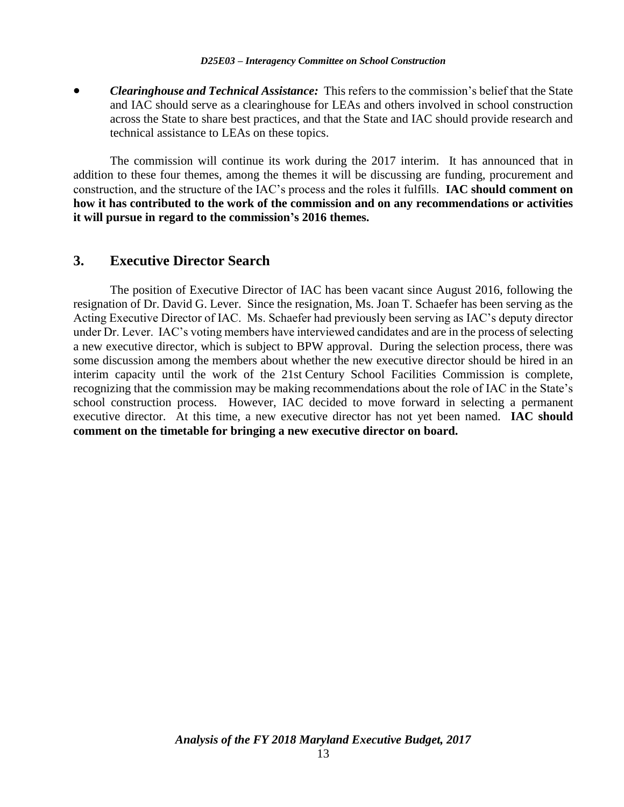*Clearinghouse and Technical Assistance:* This refers to the commission's belief that the State and IAC should serve as a clearinghouse for LEAs and others involved in school construction across the State to share best practices, and that the State and IAC should provide research and technical assistance to LEAs on these topics.

The commission will continue its work during the 2017 interim. It has announced that in addition to these four themes, among the themes it will be discussing are funding, procurement and construction, and the structure of the IAC's process and the roles it fulfills. **IAC should comment on how it has contributed to the work of the commission and on any recommendations or activities it will pursue in regard to the commission's 2016 themes.**

### **3. Executive Director Search**

The position of Executive Director of IAC has been vacant since August 2016, following the resignation of Dr. David G. Lever. Since the resignation, Ms. Joan T. Schaefer has been serving as the Acting Executive Director of IAC. Ms. Schaefer had previously been serving as IAC's deputy director under Dr. Lever. IAC's voting members have interviewed candidates and are in the process of selecting a new executive director, which is subject to BPW approval. During the selection process, there was some discussion among the members about whether the new executive director should be hired in an interim capacity until the work of the 21st Century School Facilities Commission is complete, recognizing that the commission may be making recommendations about the role of IAC in the State's school construction process. However, IAC decided to move forward in selecting a permanent executive director. At this time, a new executive director has not yet been named. **IAC should comment on the timetable for bringing a new executive director on board.**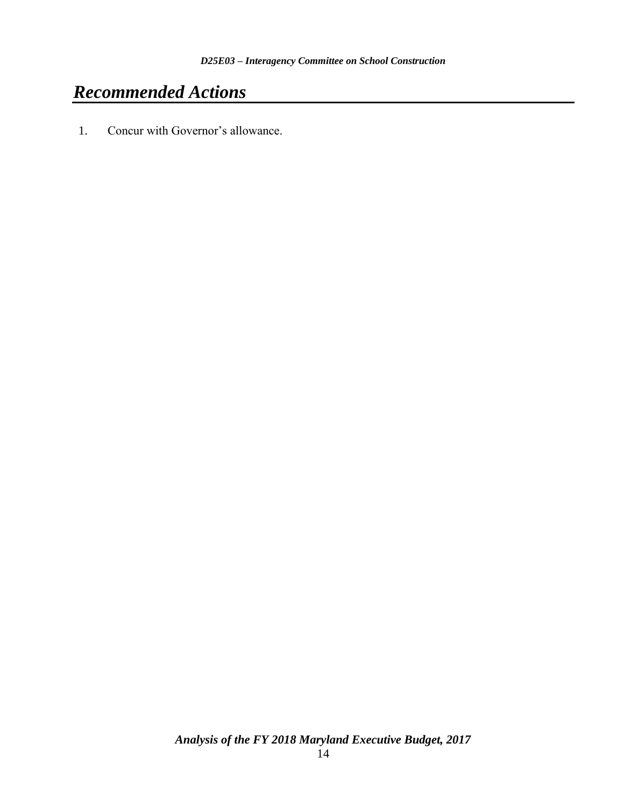# *Recommended Actions*

1. Concur with Governor's allowance.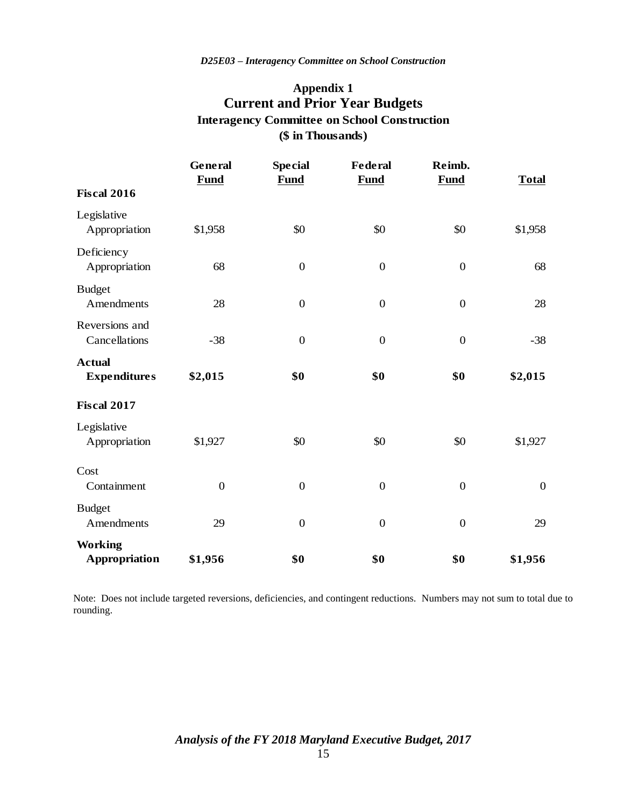## **Appendix 1 Current and Prior Year Budgets (\$ in Thousands) Interagency Committee on School Construction**

|                                      | General<br><b>Fund</b> | <b>Special</b><br><b>Fund</b> | <b>Federal</b><br><b>Fund</b> | Reimb.<br><b>Fund</b> | <b>Total</b>     |
|--------------------------------------|------------------------|-------------------------------|-------------------------------|-----------------------|------------------|
| <b>Fiscal 2016</b>                   |                        |                               |                               |                       |                  |
| Legislative<br>Appropriation         | \$1,958                | \$0                           | \$0                           | \$0                   | \$1,958          |
| Deficiency<br>Appropriation          | 68                     | $\boldsymbol{0}$              | $\boldsymbol{0}$              | $\boldsymbol{0}$      | 68               |
| <b>Budget</b><br>Amendments          | 28                     | $\boldsymbol{0}$              | $\boldsymbol{0}$              | $\boldsymbol{0}$      | 28               |
| Reversions and<br>Cancellations      | $-38$                  | $\boldsymbol{0}$              | $\boldsymbol{0}$              | $\boldsymbol{0}$      | $-38$            |
| <b>Actual</b><br><b>Expenditures</b> | \$2,015                | \$0                           | \$0                           | \$0                   | \$2,015          |
| <b>Fiscal 2017</b>                   |                        |                               |                               |                       |                  |
| Legislative<br>Appropriation         | \$1,927                | \$0                           | \$0                           | \$0                   | \$1,927          |
| Cost<br>Containment                  | $\boldsymbol{0}$       | $\boldsymbol{0}$              | $\boldsymbol{0}$              | $\boldsymbol{0}$      | $\boldsymbol{0}$ |
| <b>Budget</b><br>Amendments          | 29                     | $\overline{0}$                | $\boldsymbol{0}$              | $\overline{0}$        | 29               |
| <b>Working</b><br>Appropriation      | \$1,956                | \$0                           | \$0                           | \$0                   | \$1,956          |

Note: Does not include targeted reversions, deficiencies, and contingent reductions. Numbers may not sum to total due to rounding.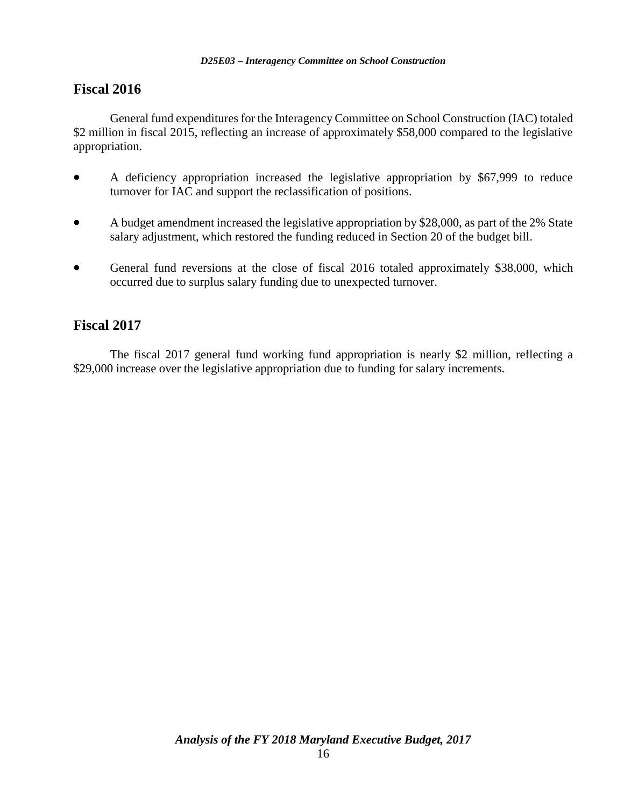## **Fiscal 2016**

General fund expenditures for the Interagency Committee on School Construction (IAC) totaled \$2 million in fiscal 2015, reflecting an increase of approximately \$58,000 compared to the legislative appropriation.

- A deficiency appropriation increased the legislative appropriation by \$67,999 to reduce turnover for IAC and support the reclassification of positions.
- A budget amendment increased the legislative appropriation by \$28,000, as part of the 2% State salary adjustment, which restored the funding reduced in Section 20 of the budget bill.
- General fund reversions at the close of fiscal 2016 totaled approximately \$38,000, which occurred due to surplus salary funding due to unexpected turnover.

### **Fiscal 2017**

The fiscal 2017 general fund working fund appropriation is nearly \$2 million, reflecting a \$29,000 increase over the legislative appropriation due to funding for salary increments.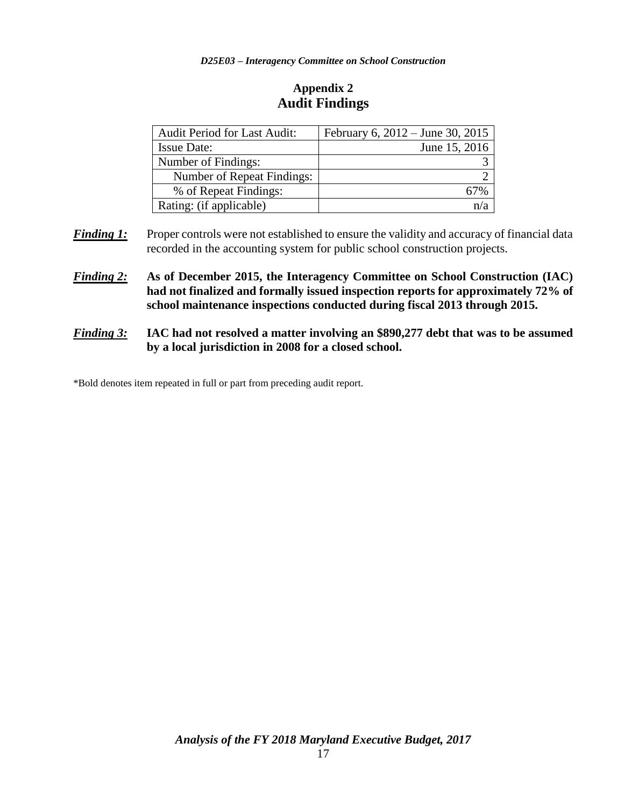#### **Appendix 2 Audit Findings**

| <b>Audit Period for Last Audit:</b> | February 6, 2012 – June 30, 2015 |
|-------------------------------------|----------------------------------|
| <b>Issue Date:</b>                  | June 15, 2016                    |
| Number of Findings:                 |                                  |
| Number of Repeat Findings:          |                                  |
| % of Repeat Findings:               |                                  |
| Rating: (if applicable)             |                                  |

- **Finding 1:** Proper controls were not established to ensure the validity and accuracy of financial data recorded in the accounting system for public school construction projects.
- *Finding 2:* **As of December 2015, the Interagency Committee on School Construction (IAC) had not finalized and formally issued inspection reports for approximately 72% of school maintenance inspections conducted during fiscal 2013 through 2015.**
- *Finding 3:* **IAC had not resolved a matter involving an \$890,277 debt that was to be assumed by a local jurisdiction in 2008 for a closed school.**

\*Bold denotes item repeated in full or part from preceding audit report.